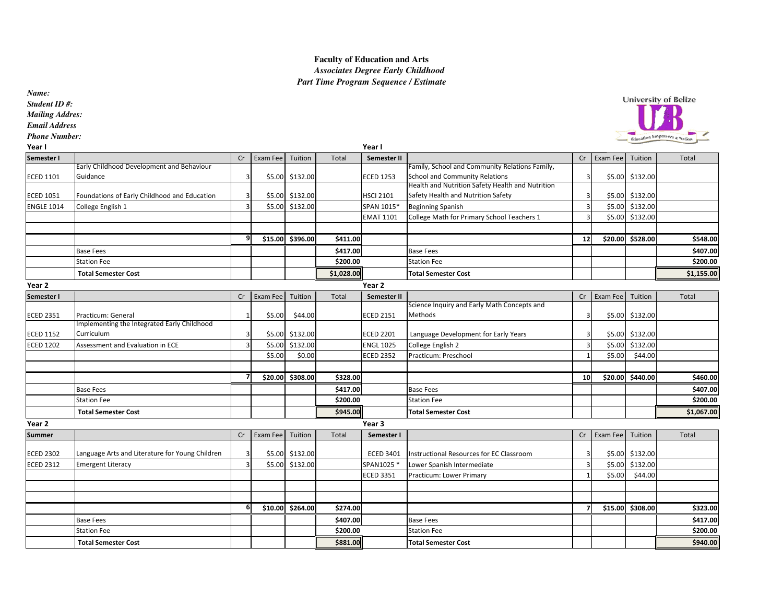## **Faculty of Education and Arts**   *Associates Degree Early ChildhoodPart Time Program Sequence / Estimate*

*Name:*

*Student ID #:*

*Mailing Addres:*

*Email Address*

*Phone Number:*

| Year I            |                                                 |                |          |                  |            | Year I             |                                                  |                         |          |                  |            |
|-------------------|-------------------------------------------------|----------------|----------|------------------|------------|--------------------|--------------------------------------------------|-------------------------|----------|------------------|------------|
| Semester I        |                                                 | Cr             | Exam Fee | Tuition          | Total      | Semester II        |                                                  | Cr                      | Exam Fee | Tuition          | Total      |
|                   | Early Childhood Development and Behaviour       |                |          |                  |            |                    | Family, School and Community Relations Family,   |                         |          |                  |            |
| <b>ECED 1101</b>  | Guidance                                        | 3              |          | \$5.00 \$132.00  |            | <b>ECED 1253</b>   | School and Community Relations                   | 3                       |          | \$5.00 \$132.00  |            |
|                   |                                                 |                |          |                  |            |                    | Health and Nutrition Safety Health and Nutrition |                         |          |                  |            |
| <b>ECED 1051</b>  | Foundations of Early Childhood and Education    | 3              | \$5.00   | \$132.00         |            | <b>HSCI 2101</b>   | Safety Health and Nutrition Safety               |                         |          | \$5.00 \$132.00  |            |
| <b>ENGLE 1014</b> | College English 1                               | 3              |          | \$5.00 \$132.00  |            | SPAN 1015*         | <b>Beginning Spanish</b>                         | $\overline{\mathbf{3}}$ |          | \$5.00 \$132.00  |            |
|                   |                                                 |                |          |                  |            | <b>EMAT 1101</b>   | College Math for Primary School Teachers 1       |                         |          | \$5.00 \$132.00  |            |
|                   |                                                 |                |          |                  |            |                    |                                                  |                         |          |                  |            |
|                   |                                                 | 9              |          | \$15.00 \$396.00 | \$411.00   |                    |                                                  | 12                      |          | \$20.00 \$528.00 | \$548.00   |
|                   | <b>Base Fees</b>                                |                |          |                  | \$417.00   |                    | <b>Base Fees</b>                                 |                         |          |                  | \$407.00   |
|                   | <b>Station Fee</b>                              |                |          |                  | \$200.00   |                    | <b>Station Fee</b>                               |                         |          |                  | \$200.00   |
|                   | <b>Total Semester Cost</b>                      |                |          |                  | \$1,028.00 |                    | <b>Total Semester Cost</b>                       |                         |          |                  | \$1,155.00 |
| Year 2            |                                                 |                |          |                  |            | Year 2             |                                                  |                         |          |                  |            |
| Semester I        |                                                 | Cr             | Exam Fee | Tuition          | Total      | <b>Semester II</b> |                                                  | Cr                      | Exam Fee | Tuition          | Total      |
|                   |                                                 |                |          |                  |            |                    | Science Inquiry and Early Math Concepts and      |                         |          |                  |            |
| <b>ECED 2351</b>  | Practicum: General                              |                | \$5.00   | \$44.00          |            | <b>ECED 2151</b>   | Methods                                          | 3                       |          | \$5.00 \$132.00  |            |
|                   | Implementing the Integrated Early Childhood     |                |          |                  |            |                    |                                                  |                         |          |                  |            |
| <b>ECED 1152</b>  | Curriculum                                      | 3              | \$5.00   | \$132.00         |            | <b>ECED 2201</b>   | Language Development for Early Years             | 3                       |          | \$5.00 \$132.00  |            |
| <b>ECED 1202</b>  | Assessment and Evaluation in ECE                | $\overline{3}$ | \$5.00   | \$132.00         |            | <b>ENGL 1025</b>   | College English 2                                | $\overline{\mathbf{3}}$ | \$5.00   | \$132.00         |            |
|                   |                                                 |                | \$5.00   | \$0.00           |            | <b>ECED 2352</b>   | Practicum: Preschool                             |                         | \$5.00   | \$44.00          |            |
|                   |                                                 | 7              |          |                  |            |                    |                                                  |                         |          |                  |            |
|                   |                                                 |                |          | \$20.00 \$308.00 | \$328.00   |                    |                                                  | 10 <sup>1</sup>         |          | \$20.00 \$440.00 | \$460.00   |
|                   | <b>Base Fees</b>                                |                |          |                  | \$417.00   |                    | <b>Base Fees</b>                                 |                         |          |                  | \$407.00   |
|                   | <b>Station Fee</b>                              |                |          |                  | \$200.00   |                    | <b>Station Fee</b>                               |                         |          |                  | \$200.00   |
|                   | <b>Total Semester Cost</b>                      |                |          |                  | \$945.00   |                    | <b>Total Semester Cost</b>                       |                         |          |                  | \$1,067.00 |
| Year 2            |                                                 |                |          |                  |            | Year 3             |                                                  |                         |          |                  |            |
| <b>Summer</b>     |                                                 | Cr             | Exam Fee | Tuition          | Total      | Semester I         |                                                  | Cr                      | Exam Fee | Tuition          | Total      |
|                   |                                                 |                |          |                  |            |                    |                                                  |                         |          |                  |            |
| <b>ECED 2302</b>  | Language Arts and Literature for Young Children | $\overline{3}$ |          | \$5.00 \$132.00  |            | <b>ECED 3401</b>   | Instructional Resources for EC Classroom         | ς                       |          | \$5.00 \$132.00  |            |
| <b>ECED 2312</b>  | <b>Emergent Literacy</b>                        | $\overline{3}$ |          | \$5.00 \$132.00  |            | SPAN1025 *         | Lower Spanish Intermediate                       | $\overline{\mathbf{3}}$ | \$5.00   | \$132.00         |            |
|                   |                                                 |                |          |                  |            | <b>ECED 3351</b>   | Practicum: Lower Primary                         |                         | \$5.00   | \$44.00          |            |
|                   |                                                 |                |          |                  |            |                    |                                                  |                         |          |                  |            |
|                   |                                                 |                |          |                  |            |                    |                                                  |                         |          |                  |            |
|                   |                                                 | -6             |          | \$10.00 \$264.00 | \$274.00   |                    |                                                  | $\overline{7}$          |          | \$15.00 \$308.00 | \$323.00   |
|                   | <b>Base Fees</b>                                |                |          |                  | \$407.00   |                    | <b>Base Fees</b>                                 |                         |          |                  | \$417.00   |
|                   | <b>Station Fee</b>                              |                |          |                  | \$200.00   |                    | <b>Station Fee</b>                               |                         |          |                  | \$200.00   |
|                   | <b>Total Semester Cost</b>                      |                |          |                  | \$881.00   |                    | <b>Total Semester Cost</b>                       |                         |          |                  | \$940.00   |